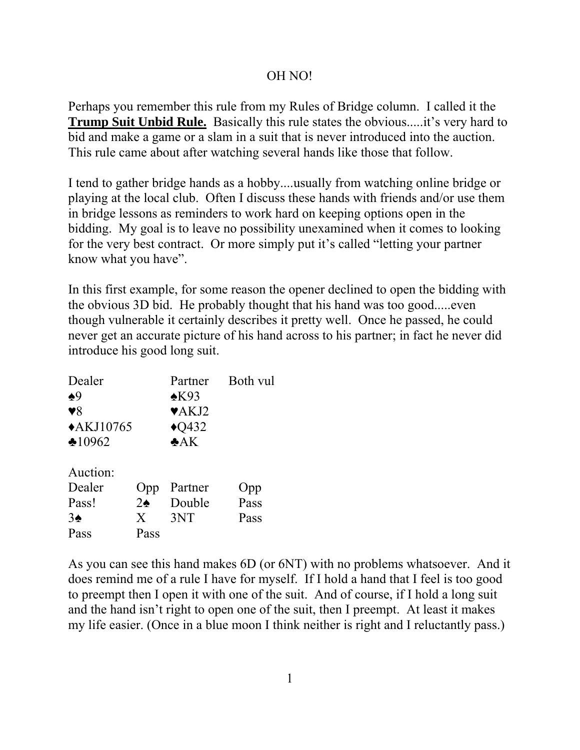## OH NO!

Perhaps you remember this rule from my Rules of Bridge column. I called it the **Trump Suit Unbid Rule.** Basically this rule states the obvious.....it's very hard to bid and make a game or a slam in a suit that is never introduced into the auction. This rule came about after watching several hands like those that follow.

I tend to gather bridge hands as a hobby....usually from watching online bridge or playing at the local club. Often I discuss these hands with friends and/or use them in bridge lessons as reminders to work hard on keeping options open in the bidding. My goal is to leave no possibility unexamined when it comes to looking for the very best contract. Or more simply put it's called "letting your partner know what you have".

In this first example, for some reason the opener declined to open the bidding with the obvious 3D bid. He probably thought that his hand was too good.....even though vulnerable it certainly describes it pretty well. Once he passed, he could never get an accurate picture of his hand across to his partner; in fact he never did introduce his good long suit.

| Dealer                 |               | Partner                   | Both vul |
|------------------------|---------------|---------------------------|----------|
| $\clubsuit 9$          |               | $*K93$                    |          |
| $\blacktriangledown 8$ |               | $\blacktriangledown$ AKJ2 |          |
| $\triangle$ KJ10765    |               | $\triangle$ Q432          |          |
| $*10962$               |               | A K                       |          |
| Auction:               |               |                           |          |
| Dealer                 | Opp           | Partner                   | Opp      |
| Pass!                  | $2\spadesuit$ | Double                    | Pass     |
| $3\spadesuit$          | X             | 3NT                       | Pass     |
| Pass                   | Pass          |                           |          |

As you can see this hand makes 6D (or 6NT) with no problems whatsoever. And it does remind me of a rule I have for myself. If I hold a hand that I feel is too good to preempt then I open it with one of the suit. And of course, if I hold a long suit and the hand isn't right to open one of the suit, then I preempt. At least it makes my life easier. (Once in a blue moon I think neither is right and I reluctantly pass.)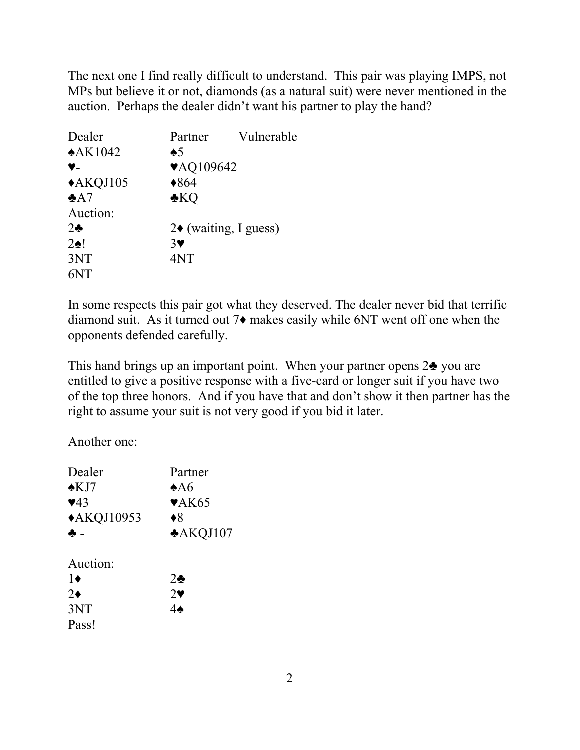The next one I find really difficult to understand. This pair was playing IMPS, not MPs but believe it or not, diamonds (as a natural suit) were never mentioned in the auction. Perhaps the dealer didn't want his partner to play the hand?

| Dealer           | Partner               | Vulnerable                          |  |
|------------------|-----------------------|-------------------------------------|--|
| $*AK1042$        | $\clubsuit 5$         |                                     |  |
| Y-               | ♥AQ109642             |                                     |  |
| $*AKQJ105$       | $*864$                |                                     |  |
| A7               | $\clubsuit KQ$        |                                     |  |
| Auction:         |                       |                                     |  |
| $2\bullet$       |                       | $2\blacklozenge$ (waiting, I guess) |  |
| $2 \spadesuit !$ | $3\blacktriangledown$ |                                     |  |
| 3NT              | 4NT                   |                                     |  |
|                  |                       |                                     |  |

In some respects this pair got what they deserved. The dealer never bid that terrific diamond suit. As it turned out 7♦ makes easily while 6NT went off one when the opponents defended carefully.

This hand brings up an important point. When your partner opens 2♣ you are entitled to give a positive response with a five-card or longer suit if you have two of the top three honors. And if you have that and don't show it then partner has the right to assume your suit is not very good if you bid it later.

Another one:

| Dealer                  | Partner                   |
|-------------------------|---------------------------|
| $\triangle$ KJ7         | $*$ A6                    |
| $\blacktriangledown$ 43 | $\blacktriangledown$ AK65 |
| ◆AKQJ10953              | $\blacklozenge 8$         |
| ♣ -                     | <b>*AKQJ107</b>           |
| Auction:                |                           |
| 1♦                      | $2\bullet$                |
| $2\bullet$              | $2\bullet$                |
| 3NT                     |                           |
| Pass!                   |                           |